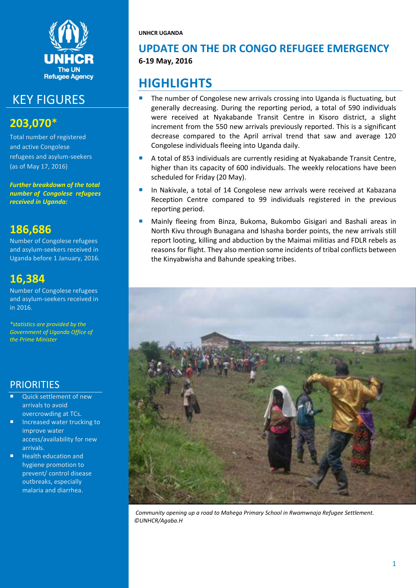

## KEY FIGURES

## **203,070**\*

Total number of registered and active Congolese refugees and asylum-seekers (as of May 17, 2016)

*Further breakdown of the total number of Congolese refugees received in Uganda:*

## **186,686**

Number of Congolese refugees and asylum-seekers received in Uganda before 1 January, 2016.

## **16,384**

Number of Congolese refugees and asylum-seekers received in in 2016.

*\*statistics are provided by the Government of Uganda Office of the Prime Minister*

## **PRIORITIES**

- Quick settlement of new arrivals to avoid overcrowding at TCs.
- Increased water trucking to improve water access/availability for new arrivals.
- Health education and hygiene promotion to prevent/ control disease outbreaks, especially malaria and diarrhea.

**UNHCR UGANDA**

## **UPDATE ON THE DR CONGO REFUGEE EMERGENCY 6-19 May, 2016**

## **HIGHLIGHTS**

- The number of Congolese new arrivals crossing into Uganda is fluctuating, but generally decreasing. During the reporting period, a total of 590 individuals were received at Nyakabande Transit Centre in Kisoro district, a slight increment from the 550 new arrivals previously reported. This is a significant decrease compared to the April arrival trend that saw and average 120 Congolese individuals fleeing into Uganda daily.
- A total of 853 individuals are currently residing at Nyakabande Transit Centre, higher than its capacity of 600 individuals. The weekly relocations have been scheduled for Friday (20 May).
- In Nakivale, a total of 14 Congolese new arrivals were received at Kabazana Reception Centre compared to 99 individuals registered in the previous reporting period.
- Mainly fleeing from Binza, Bukoma, Bukombo Gisigari and Bashali areas in North Kivu through Bunagana and Ishasha border points, the new arrivals still report looting, killing and abduction by the Maimai militias and FDLR rebels as reasons for flight. They also mention some incidents of tribal conflicts between the Kinyabwisha and Bahunde speaking tribes.



*Community opening up a road to Mahega Primary School in Rwamwnaja Refugee Settlement. ©UNHCR/Agaba.H*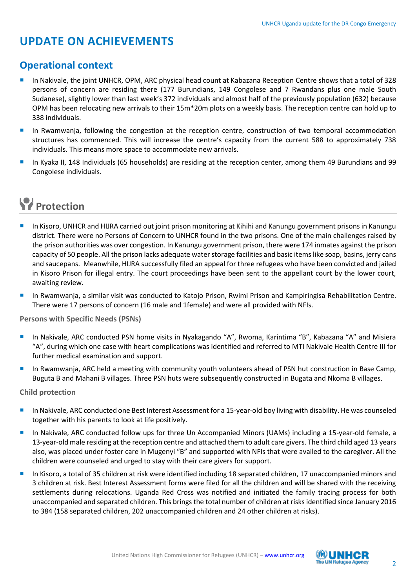## **UPDATE ON ACHIEVEMENTS**

## **Operational context**

- In Nakivale, the joint UNHCR, OPM, ARC physical head count at Kabazana Reception Centre shows that a total of 328 persons of concern are residing there (177 Burundians, 149 Congolese and 7 Rwandans plus one male South Sudanese), slightly lower than last week's 372 individuals and almost half of the previously population (632) because OPM has been relocating new arrivals to their 15m\*20m plots on a weekly basis. The reception centre can hold up to 338 individuals.
- In Rwamwanja, following the congestion at the reception centre, construction of two temporal accommodation structures has commenced. This will increase the centre's capacity from the current 588 to approximately 738 individuals. This means more space to accommodate new arrivals.
- In Kyaka II, 148 Individuals (65 households) are residing at the reception center, among them 49 Burundians and 99 Congolese individuals.

# **Protection**

- **In Kisoro, UNHCR and HIJRA carried out joint prison monitoring at Kihihi and Kanungu government prisons in Kanungu** district. There were no Persons of Concern to UNHCR found in the two prisons. One of the main challenges raised by the prison authorities was over congestion. In Kanungu government prison, there were 174 inmates against the prison capacity of 50 people. All the prison lacks adequate water storage facilities and basic items like soap, basins, jerry cans and saucepans. Meanwhile, HIJRA successfully filed an appeal for three refugees who have been convicted and jailed in Kisoro Prison for illegal entry. The court proceedings have been sent to the appellant court by the lower court, awaiting review.
- In Rwamwanja, a similar visit was conducted to Katojo Prison, Rwimi Prison and Kampiringisa Rehabilitation Centre. There were 17 persons of concern (16 male and 1female) and were all provided with NFIs.

**Persons with Specific Needs (PSNs)**

- In Nakivale, ARC conducted PSN home visits in Nyakagando "A", Rwoma, Karintima "B", Kabazana "A" and Misiera "A", during which one case with heart complications was identified and referred to MTI Nakivale Health Centre III for further medical examination and support.
- In Rwamwanja, ARC held a meeting with community youth volunteers ahead of PSN hut construction in Base Camp, Buguta B and Mahani B villages. Three PSN huts were subsequently constructed in Bugata and Nkoma B villages.

**Child protection**

- In Nakivale, ARC conducted one Best Interest Assessment for a 15-year-old boy living with disability. He was counseled together with his parents to look at life positively.
- In Nakivale, ARC conducted follow ups for three Un Accompanied Minors (UAMs) including a 15-year-old female, a 13-year-old male residing at the reception centre and attached them to adult care givers. The third child aged 13 years also, was placed under foster care in Mugenyi "B" and supported with NFIs that were availed to the caregiver. All the children were counseled and urged to stay with their care givers for support.
- In Kisoro, a total of 35 children at risk were identified including 18 separated children, 17 unaccompanied minors and 3 children at risk. Best Interest Assessment forms were filed for all the children and will be shared with the receiving settlements during relocations. Uganda Red Cross was notified and initiated the family tracing process for both unaccompanied and separated children. This brings the total number of children at risks identified since January 2016 to 384 (158 separated children, 202 unaccompanied children and 24 other children at risks).

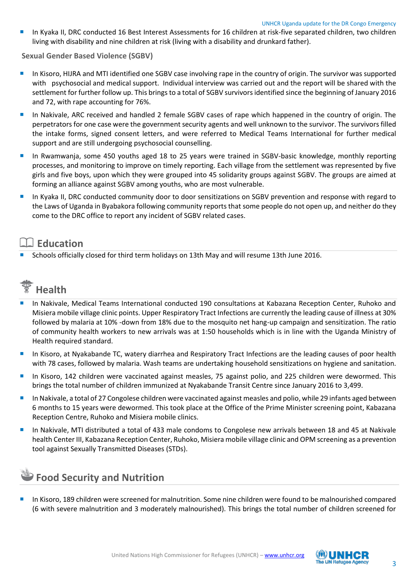In Kyaka II, DRC conducted 16 Best Interest Assessments for 16 children at risk-five separated children, two children living with disability and nine children at risk (living with a disability and drunkard father).

**Sexual Gender Based Violence (SGBV)**

- In Kisoro, HIJRA and MTI identified one SGBV case involving rape in the country of origin. The survivor was supported with psychosocial and medical support. Individual interview was carried out and the report will be shared with the settlement for further follow up. This brings to a total of SGBV survivors identified since the beginning of January 2016 and 72, with rape accounting for 76%.
- In Nakivale, ARC received and handled 2 female SGBV cases of rape which happened in the country of origin. The perpetrators for one case were the government security agents and well unknown to the survivor. The survivors filled the intake forms, signed consent letters, and were referred to Medical Teams International for further medical support and are still undergoing psychosocial counselling.
- **In Rwamwanja, some 450 youths aged 18 to 25 years were trained in SGBV-basic knowledge, monthly reporting** processes, and monitoring to improve on timely reporting. Each village from the settlement was represented by five girls and five boys, upon which they were grouped into 45 solidarity groups against SGBV. The groups are aimed at forming an alliance against SGBV among youths, who are most vulnerable.
- In Kyaka II, DRC conducted community door to door sensitizations on SGBV prevention and response with regard to the Laws of Uganda in Byabakora following community reports that some people do not open up, and neither do they come to the DRC office to report any incident of SGBV related cases.

## **Education**

Schools officially closed for third term holidays on 13th May and will resume 13th June 2016.



- In Nakivale, Medical Teams International conducted 190 consultations at Kabazana Reception Center, Ruhoko and Misiera mobile village clinic points. Upper Respiratory Tract Infections are currently the leading cause of illness at 30% followed by malaria at 10% -down from 18% due to the mosquito net hang-up campaign and sensitization. The ratio of community health workers to new arrivals was at 1:50 households which is in line with the Uganda Ministry of Health required standard.
- In Kisoro, at Nyakabande TC, watery diarrhea and Respiratory Tract Infections are the leading causes of poor health with 78 cases, followed by malaria. Wash teams are undertaking household sensitizations on hygiene and sanitation.
- In Kisoro, 142 children were vaccinated against measles, 75 against polio, and 225 children were dewormed. This brings the total number of children immunized at Nyakabande Transit Centre since January 2016 to 3,499.
- **In Nakivale, a total of 27 Congolese children were vaccinated against measles and polio, while 29 infants aged between** 6 months to 15 years were dewormed. This took place at the Office of the Prime Minister screening point, Kabazana Reception Centre, Ruhoko and Misiera mobile clinics.
- **In Nakivale, MTI distributed a total of 433 male condoms to Congolese new arrivals between 18 and 45 at Nakivale** health Center III, Kabazana Reception Center, Ruhoko, Misiera mobile village clinic and OPM screening as a prevention tool against Sexually Transmitted Diseases (STDs).

## **Food Security and Nutrition**

 In Kisoro, 189 children were screened for malnutrition. Some nine children were found to be malnourished compared (6 with severe malnutrition and 3 moderately malnourished). This brings the total number of children screened for

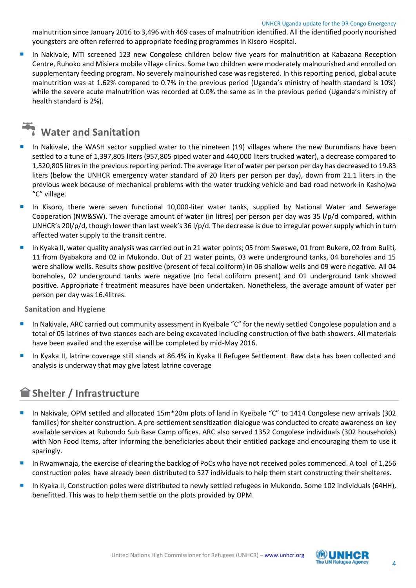malnutrition since January 2016 to 3,496 with 469 cases of malnutrition identified. All the identified poorly nourished youngsters are often referred to appropriate feeding programmes in Kisoro Hospital.

 In Nakivale, MTI screened 123 new Congolese children below five years for malnutrition at Kabazana Reception Centre, Ruhoko and Misiera mobile village clinics. Some two children were moderately malnourished and enrolled on supplementary feeding program. No severely malnourished case was registered. In this reporting period, global acute malnutrition was at 1.62% compared to 0.7% in the previous period (Uganda's ministry of health standard is 10%) while the severe acute malnutrition was recorded at 0.0% the same as in the previous period (Uganda's ministry of health standard is 2%).



- In Nakivale, the WASH sector supplied water to the nineteen (19) villages where the new Burundians have been settled to a tune of 1,397,805 liters (957,805 piped water and 440,000 liters trucked water), a decrease compared to 1,520,805 litres in the previous reporting period. The average liter of water per person per day has decreased to 19.83 liters (below the UNHCR emergency water standard of 20 liters per person per day), down from 21.1 liters in the previous week because of mechanical problems with the water trucking vehicle and bad road network in Kashojwa "C" village.
- In Kisoro, there were seven functional 10,000-liter water tanks, supplied by National Water and Sewerage Cooperation (NW&SW). The average amount of water (in litres) per person per day was 35 l/p/d compared, within UNHCR's 20l/p/d, though lower than last week's 36 l/p/d. The decrease is due to irregular power supply which in turn affected water supply to the transit centre.
- In Kyaka II, water quality analysis was carried out in 21 water points; 05 from Sweswe, 01 from Bukere, 02 from Buliti, 11 from Byabakora and 02 in Mukondo. Out of 21 water points, 03 were underground tanks, 04 boreholes and 15 were shallow wells. Results show positive (present of fecal coliform) in 06 shallow wells and 09 were negative. All 04 boreholes, 02 underground tanks were negative (no fecal coliform present) and 01 underground tank showed positive. Appropriate f treatment measures have been undertaken. Nonetheless, the average amount of water per person per day was 16.4litres.

**Sanitation and Hygiene**

- In Nakivale, ARC carried out community assessment in Kyeibale "C" for the newly settled Congolese population and a total of 05 latrines of two stances each are being excavated including construction of five bath showers. All materials have been availed and the exercise will be completed by mid-May 2016.
- In Kyaka II, latrine coverage still stands at 86.4% in Kyaka II Refugee Settlement. Raw data has been collected and analysis is underway that may give latest latrine coverage

## **Shelter / Infrastructure**

- In Nakivale, OPM settled and allocated 15m\*20m plots of land in Kyeibale "C" to 1414 Congolese new arrivals (302 families) for shelter construction. A pre-settlement sensitization dialogue was conducted to create awareness on key available services at Rubondo Sub Base Camp offices. ARC also served 1352 Congolese individuals (302 households) with Non Food Items, after informing the beneficiaries about their entitled package and encouraging them to use it sparingly.
- In Rwamwnaja, the exercise of clearing the backlog of PoCs who have not received poles commenced. A toal of 1,256 construction poles have already been distributed to 527 individuals to help them start constructing their shelteres.
- In Kyaka II, Construction poles were distributed to newly settled refugees in Mukondo. Some 102 individuals (64HH), benefitted. This was to help them settle on the plots provided by OPM.

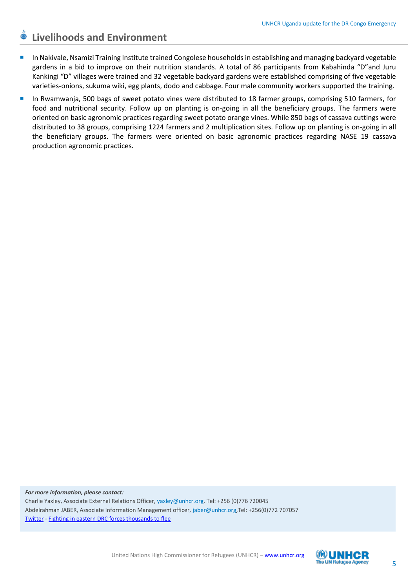## **Livelihoods and Environment**

- In Nakivale, Nsamizi Training Institute trained Congolese households in establishing and managing backyard vegetable gardens in a bid to improve on their nutrition standards. A total of 86 participants from Kabahinda "D"and Juru Kankingi "D" villages were trained and 32 vegetable backyard gardens were established comprising of five vegetable varieties-onions, sukuma wiki, egg plants, dodo and cabbage. Four male community workers supported the training.
- In Rwamwanja, 500 bags of sweet potato vines were distributed to 18 farmer groups, comprising 510 farmers, for food and nutritional security. Follow up on planting is on-going in all the beneficiary groups. The farmers were oriented on basic agronomic practices regarding sweet potato orange vines. While 850 bags of cassava cuttings were distributed to 38 groups, comprising 1224 farmers and 2 multiplication sites. Follow up on planting is on-going in all the beneficiary groups. The farmers were oriented on basic agronomic practices regarding NASE 19 cassava production agronomic practices.

*For more information, please contact:* Charlie Yaxley, Associate External Relations Officer, [yaxley@unhcr.org,](mailto:yaxley@unhcr.org) Tel: +256 (0)776 720045 Abdelrahman JABER, Associate Information Management officer, [jaber@unhcr.org,](mailto:jaber@unhcr.org)Tel: +256(0)772 707057 [Twitter](https://twitter.com/yaxle) - [Fighting in eastern DRC forces thousands to flee](http://www.unhcr.org/56ab5d576.html)

United Nations High Commissioner for Refugees (UNHCR) – [www.unhcr.org](http://www.unhcr.org/)